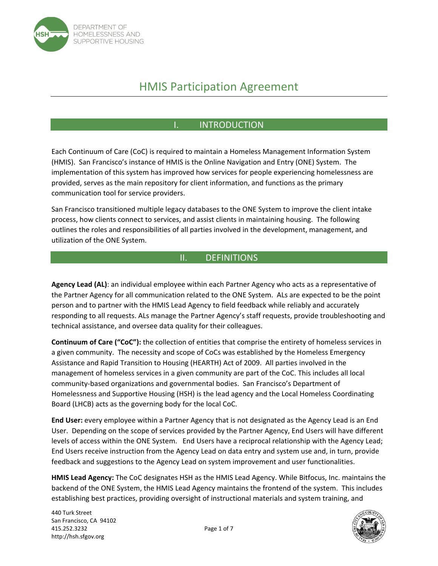

# HMIS Participation Agreement

# I. INTRODUCTION

Each Continuum of Care (CoC) is required to maintain a Homeless Management Information System (HMIS). San Francisco's instance of HMIS is the Online Navigation and Entry (ONE) System. The implementation of this system has improved how services for people experiencing homelessness are provided, serves as the main repository for client information, and functions as the primary communication tool for service providers.

San Francisco transitioned multiple legacy databases to the ONE System to improve the client intake process, how clients connect to services, and assist clients in maintaining housing. The following outlines the roles and responsibilities of all parties involved in the development, management, and utilization of the ONE System.

### II. DEFINITIONS

**Agency Lead (AL)**: an individual employee within each Partner Agency who acts as a representative of the Partner Agency for all communication related to the ONE System. ALs are expected to be the point person and to partner with the HMIS Lead Agency to field feedback while reliably and accurately responding to all requests. ALs manage the Partner Agency's staff requests, provide troubleshooting and technical assistance, and oversee data quality for their colleagues.

**Continuum of Care ("CoC"):** the collection of entities that comprise the entirety of homeless services in a given community. The necessity and scope of CoCs was established by the Homeless Emergency Assistance and Rapid Transition to Housing (HEARTH) Act of 2009. All parties involved in the management of homeless services in a given community are part of the CoC. This includes all local community-based organizations and governmental bodies. San Francisco's Department of Homelessness and Supportive Housing (HSH) is the lead agency and the Local Homeless Coordinating Board (LHCB) acts as the governing body for the local CoC.

**End User:** every employee within a Partner Agency that is not designated as the Agency Lead is an End User. Depending on the scope of services provided by the Partner Agency, End Users will have different levels of access within the ONE System. End Users have a reciprocal relationship with the Agency Lead; End Users receive instruction from the Agency Lead on data entry and system use and, in turn, provide feedback and suggestions to the Agency Lead on system improvement and user functionalities.

**HMIS Lead Agency:** The CoC designates HSH as the HMIS Lead Agency. While Bitfocus, Inc. maintains the backend of the ONE System, the HMIS Lead Agency maintains the frontend of the system. This includes establishing best practices, providing oversight of instructional materials and system training, and

440 Turk Street San Francisco, CA 94102 415.252.3232 Page 1 of 7 http://hsh.sfgov.org

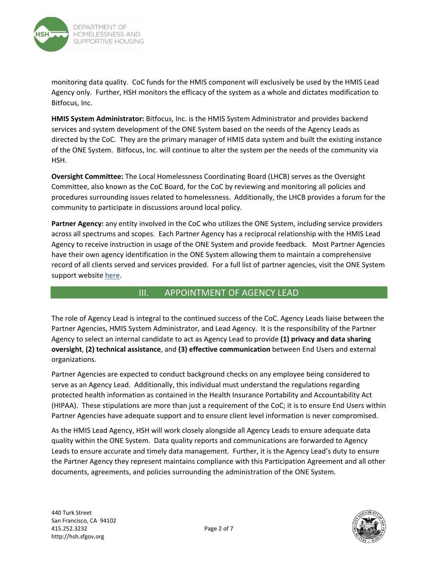

monitoring data quality. CoC funds for the HMIS component will exclusively be used by the HMIS Lead Agency only. Further, HSH monitors the efficacy of the system as a whole and dictates modification to Bitfocus, Inc.

**HMIS System Administrator:** Bitfocus, Inc. is the HMIS System Administrator and provides backend services and system development of the ONE System based on the needs of the Agency Leads as directed by the CoC. They are the primary manager of HMIS data system and built the existing instance of the ONE System. Bitfocus, Inc. will continue to alter the system per the needs of the community via HSH.

**Oversight Committee:** The Local Homelessness Coordinating Board (LHCB) serves as the Oversight Committee, also known as the CoC Board, for the CoC by reviewing and monitoring all policies and procedures surrounding issues related to homelessness. Additionally, the LHCB provides a forum for the community to participate in discussions around local policy.

**Partner Agency:** any entity involved in the CoC who utilizes the ONE System, including service providers across all spectrums and scopes. Each Partner Agency has a reciprocal relationship with the HMIS Lead Agency to receive instruction in usage of the ONE System and provide feedback. Most Partner Agencies have their own agency identification in the ONE System allowing them to maintain a comprehensive record of all clients served and services provided. For a full list of partner agencies, visit the ONE System support website [here.](https://onesf.bitfocus.com/participating-agencies)

### III. APPOINTMENT OF AGENCY LEAD

The role of Agency Lead is integral to the continued success of the CoC. Agency Leads liaise between the Partner Agencies, HMIS System Administrator, and Lead Agency. It is the responsibility of the Partner Agency to select an internal candidate to act as Agency Lead to provide **(1) privacy and data sharing oversight**, **(2) technical assistance**, and **(3) effective communication** between End Users and external organizations.

Partner Agencies are expected to conduct background checks on any employee being considered to serve as an Agency Lead. Additionally, this individual must understand the regulations regarding protected health information as contained in the Health Insurance Portability and Accountability Act (HIPAA). These stipulations are more than just a requirement of the CoC; it is to ensure End Users within Partner Agencies have adequate support and to ensure client level information is never compromised.

As the HMIS Lead Agency, HSH will work closely alongside all Agency Leads to ensure adequate data quality within the ONE System. Data quality reports and communications are forwarded to Agency Leads to ensure accurate and timely data management. Further, it is the Agency Lead's duty to ensure the Partner Agency they represent maintains compliance with this Participation Agreement and all other documents, agreements, and policies surrounding the administration of the ONE System.

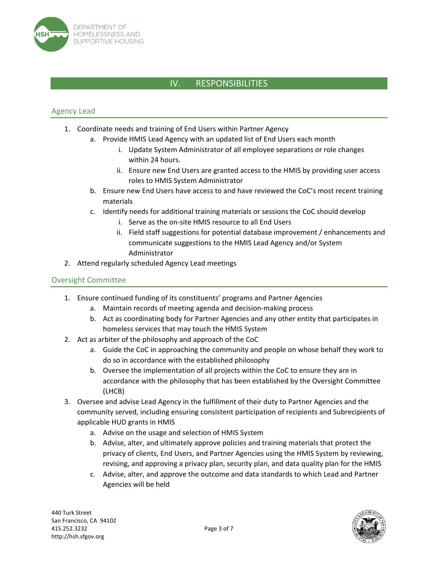

# IV. RESPONSIBILITIES

#### Agency Lead

- 1. Coordinate needs and training of End Users within Partner Agency
	- a. Provide HMIS Lead Agency with an updated list of End Users each month
		- i. Update System Administrator of all employee separations or role changes within 24 hours.
		- ii. Ensure new End Users are granted access to the HMIS by providing user access roles to HMIS System Administrator
	- b. Ensure new End Users have access to and have reviewed the CoC's most recent training materials
	- c. Identify needs for additional training materials or sessions the CoC should develop
		- i. Serve as the on‐site HMIS resource to all End Users
		- ii. Field staff suggestions for potential database improvement / enhancements and communicate suggestions to the HMIS Lead Agency and/or System Administrator
- 2. Attend regularly scheduled Agency Lead meetings

#### Oversight Committee

- 1. Ensure continued funding of its constituents' programs and Partner Agencies
	- a. Maintain records of meeting agenda and decision‐making process
	- b. Act as coordinating body for Partner Agencies and any other entity that participates in homeless services that may touch the HMIS System
- 2. Act as arbiter of the philosophy and approach of the CoC
	- a. Guide the CoC in approaching the community and people on whose behalf they work to do so in accordance with the established philosophy
	- b. Oversee the implementation of all projects within the CoC to ensure they are in accordance with the philosophy that has been established by the Oversight Committee (LHCB)
- 3. Oversee and advise Lead Agency in the fulfillment of their duty to Partner Agencies and the community served, including ensuring consistent participation of recipients and Subrecipients of applicable HUD grants in HMIS
	- a. Advise on the usage and selection of HMIS System
	- b. Advise, alter, and ultimately approve policies and training materials that protect the privacy of clients, End Users, and Partner Agencies using the HMIS System by reviewing, revising, and approving a privacy plan, security plan, and data quality plan for the HMIS
	- c. Advise, alter, and approve the outcome and data standards to which Lead and Partner Agencies will be held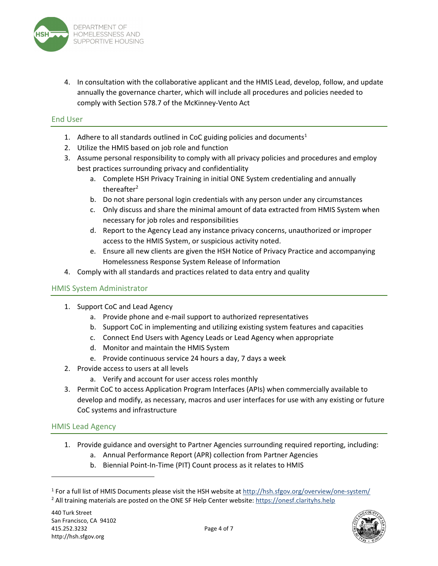

4. In consultation with the collaborative applicant and the HMIS Lead, develop, follow, and update annually the governance charter, which will include all procedures and policies needed to comply with Section 578.7 of the McKinney‐Vento Act

#### End User

- 1. Adhere to all standards outlined in CoC guiding policies and documents<sup>1</sup>
- 2. Utilize the HMIS based on job role and function
- 3. Assume personal responsibility to comply with all privacy policies and procedures and employ best practices surrounding privacy and confidentiality
	- a. Complete HSH Privacy Training in initial ONE System credentialing and annually thereafter<sup>2</sup>
	- b. Do not share personal login credentials with any person under any circumstances
	- c. Only discuss and share the minimal amount of data extracted from HMIS System when necessary for job roles and responsibilities
	- d. Report to the Agency Lead any instance privacy concerns, unauthorized or improper access to the HMIS System, or suspicious activity noted.
	- e. Ensure all new clients are given the HSH Notice of Privacy Practice and accompanying Homelessness Response System Release of Information
- 4. Comply with all standards and practices related to data entry and quality

#### HMIS System Administrator

- 1. Support CoC and Lead Agency
	- a. Provide phone and e‐mail support to authorized representatives
	- b. Support CoC in implementing and utilizing existing system features and capacities
	- c. Connect End Users with Agency Leads or Lead Agency when appropriate
	- d. Monitor and maintain the HMIS System
	- e. Provide continuous service 24 hours a day, 7 days a week
- 2. Provide access to users at all levels
	- a. Verify and account for user access roles monthly
- 3. Permit CoC to access Application Program Interfaces (APIs) when commercially available to develop and modify, as necessary, macros and user interfaces for use with any existing or future CoC systems and infrastructure

#### HMIS Lead Agency

- 1. Provide guidance and oversight to Partner Agencies surrounding required reporting, including:
	- a. Annual Performance Report (APR) collection from Partner Agencies
	- b. Biennial Point‐In‐Time (PIT) Count process as it relates to HMIS

<sup>&</sup>lt;sup>1</sup> For a full list of HMIS Documents please visit the HSH website at http://hsh.sfgov.org/overview/one-system/ <sup>2</sup> All training materials are posted on the ONE SF Help Center website: https://onesf.clarityhs.help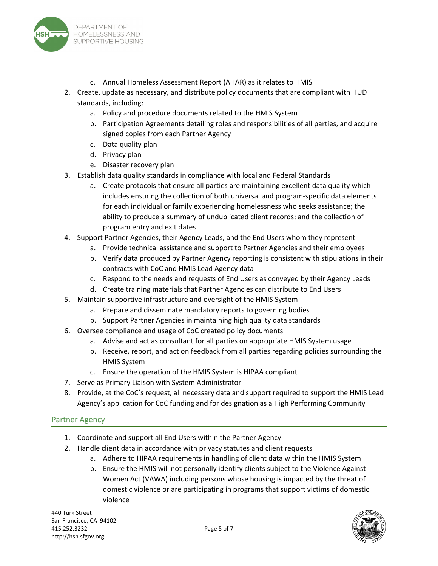

- c. Annual Homeless Assessment Report (AHAR) as it relates to HMIS
- 2. Create, update as necessary, and distribute policy documents that are compliant with HUD standards, including:
	- a. Policy and procedure documents related to the HMIS System
	- b. Participation Agreements detailing roles and responsibilities of all parties, and acquire signed copies from each Partner Agency
	- c. Data quality plan
	- d. Privacy plan
	- e. Disaster recovery plan
- 3. Establish data quality standards in compliance with local and Federal Standards
	- a. Create protocols that ensure all parties are maintaining excellent data quality which includes ensuring the collection of both universal and program‐specific data elements for each individual or family experiencing homelessness who seeks assistance; the ability to produce a summary of unduplicated client records; and the collection of program entry and exit dates
- 4. Support Partner Agencies, their Agency Leads, and the End Users whom they represent
	- a. Provide technical assistance and support to Partner Agencies and their employees
	- b. Verify data produced by Partner Agency reporting is consistent with stipulations in their contracts with CoC and HMIS Lead Agency data
	- c. Respond to the needs and requests of End Users as conveyed by their Agency Leads
	- d. Create training materials that Partner Agencies can distribute to End Users
- 5. Maintain supportive infrastructure and oversight of the HMIS System
	- a. Prepare and disseminate mandatory reports to governing bodies
	- b. Support Partner Agencies in maintaining high quality data standards
- 6. Oversee compliance and usage of CoC created policy documents
	- a. Advise and act as consultant for all parties on appropriate HMIS System usage
	- b. Receive, report, and act on feedback from all parties regarding policies surrounding the HMIS System
	- c. Ensure the operation of the HMIS System is HIPAA compliant
- 7. Serve as Primary Liaison with System Administrator
- 8. Provide, at the CoC's request, all necessary data and support required to support the HMIS Lead Agency's application for CoC funding and for designation as a High Performing Community

#### Partner Agency

- 1. Coordinate and support all End Users within the Partner Agency
- 2. Handle client data in accordance with privacy statutes and client requests
	- a. Adhere to HIPAA requirements in handling of client data within the HMIS System
	- b. Ensure the HMIS will not personally identify clients subject to the Violence Against Women Act (VAWA) including persons whose housing is impacted by the threat of domestic violence or are participating in programs that support victims of domestic violence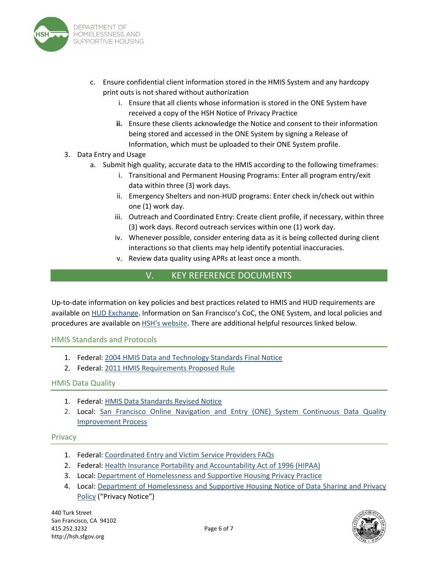

- c. Ensure confidential client information stored in the HMIS System and any hardcopy print outs is not shared without authorization
	- i. Ensure that all clients whose information is stored in the ONE System have received a copy of the HSH Notice of Privacy Practice
	- **ii.** Ensure these clients acknowledge the Notice and consent to their information being stored and accessed in the ONE System by signing a Release of Information, which must be uploaded to their ONE System profile.

#### 3. Data Entry and Usage

- a. Submit high quality, accurate data to the HMIS according to the following timeframes:
	- i. Transitional and Permanent Housing Programs: Enter all program entry/exit data within three (3) work days.
	- ii. Emergency Shelters and non‐HUD programs: Enter check in/check out within one (1) work day.
	- iii. Outreach and Coordinated Entry: Create client profile, if necessary, within three (3) work days. Record outreach services within one (1) work day.
	- iv. Whenever possible, consider entering data as it is being collected during client interactions so that clients may help identify potential inaccuracies.
	- v. Review data quality using APRs at least once a month.

## V. KEY REFERENCE DOCUMENTS

Up-to-date information on key policies and best practices related to HMIS and HUD requirements are available on **HUD [Exchange.](https://www.hudexchange.info/) Information on San Francisco's CoC**, the ONE System, and local policies and procedures are available on HSH's [website.](https://hsh.sfgov.org/) There are additional helpful resources linked below.

#### HMIS Standards and Protocols

- 1. Federal: 2004 HMIS Data and [Technology](https://www.hudexchange.info/resource/1318/2004-hmis-data-and-technical-standards-final-notice/) Standards Final Notice
- 2. Federal: 2011 HMIS [Requirements](https://www.hudexchange.info/resource/1967/hearth-proposed-rule-for-hmis-requirements/) Proposed Rule

#### HMIS Data Quality

- 1. Federal: HMIS Data [Standards](https://www.hudexchange.info/resource/3824/hmis-data-dictionary/) Revised Notice
- 2. Local: San Francisco Online Navigation and Entry (ONE) System Continuous Data Quality [Improvement](https://www.bitfocus.com/hubfs/Community Admin Sites/San Francisco - Community Admin Site/Data Quality Resources/Continuous Improvement Process/Data-Quality-Improvement-Process.pdf?hsLang=en) Process

#### **Privacy**

- 1. Federal: [Coordinated](https://files.hudexchange.info/resources/documents/Coordinated-Entry-and-Victim-Service-Providers-FAQs.pdf) Entry and Victim Service Providers FAQs
- 2. Federal: Health Insurance Portability and [Accountability](https://www.hhs.gov/hipaa/index.html) Act of 1996 (HIPAA)
- 3. Local: Department of [Homelessness](https://onesf.bitfocus.com/dhsh-privacy-practice-roi) and Supportive Housing Privacy Practice
- 4. Local: Department of [Homelessness](https://www.bitfocus.com/hubfs/FINAL HSH Notice of Privacy Practice_English_12272021.pdf?hsLang=en) and Supportive Housing Notice of Data Sharing and Privacy Policy ("Privacy Notice")